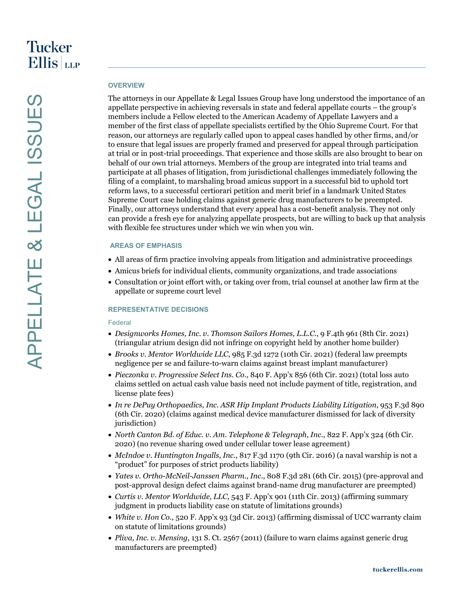# **OVERVIEW**

The attorneys in our Appellate & Legal Issues Group have long understood the importance of an appellate perspective in achieving reversals in state and federal appellate courts – the group's members include a Fellow elected to the American Academy of Appellate Lawyers and a member of the first class of appellate specialists certified by the Ohio Supreme Court. For that reason, our attorneys are regularly called upon to appeal cases handled by other firms, and/or to ensure that legal issues are properly framed and preserved for appeal through participation at trial or in post-trial proceedings. That experience and those skills are also brought to bear on behalf of our own trial attorneys. Members of the group are integrated into trial teams and participate at all phases of litigation, from jurisdictional challenges immediately following the filing of a complaint, to marshaling broad amicus support in a successful bid to uphold tort reform laws, to a successful certiorari petition and merit brief in a landmark United States Supreme Court case holding claims against generic drug manufacturers to be preempted. Finally, our attorneys understand that every appeal has a cost-benefit analysis. They not only can provide a fresh eye for analyzing appellate prospects, but are willing to back up that analysis with flexible fee structures under which we win when you win.

# **AREAS OF EMPHASIS**

- All areas of firm practice involving appeals from litigation and administrative proceedings
- Amicus briefs for individual clients, community organizations, and trade associations
- Consultation or joint effort with, or taking over from, trial counsel at another law firm at the appellate or supreme court level

# **REPRESENTATIVE DECISIONS**

#### Federal

- *Designworks Homes, Inc. v. Thomson Sailors Homes, L.L.C.*, 9 F.4th 961 (8th Cir. 2021) (triangular atrium design did not infringe on copyright held by another home builder)
- *Brooks v. Mentor Worldwide LLC*, 985 F.3d 1272 (10th Cir. 2021) (federal law preempts negligence per se and failure-to-warn claims against breast implant manufacturer)
- *Pieczonka v. Progressive Select Ins. Co.*, 840 F. App'x 856 (6th Cir. 2021) (total loss auto claims settled on actual cash value basis need not include payment of title, registration, and license plate fees)
- *In re DePuy Orthopaedics, Inc. ASR Hip Implant Products Liability Litigation*, 953 F.3d 890 (6th Cir. 2020) (claims against medical device manufacturer dismissed for lack of diversity jurisdiction)
- *North Canton Bd. of Educ. v. Am. Telephone & Telegraph, Inc.*, 822 F. App'x 324 (6th Cir. 2020) (no revenue sharing owed under cellular tower lease agreement)
- *McIndoe v. Huntington Ingalls, Inc.*, 817 F.3d 1170 (9th Cir. 2016) (a naval warship is not a "product" for purposes of strict products liability)
- *Yates v. Ortho-McNeil-Janssen Pharm., Inc.*, 808 F.3d 281 (6th Cir. 2015) (pre-approval and post-approval design defect claims against brand-name drug manufacturer are preempted)
- *Curtis v. Mentor Worldwide, LLC*, 543 F. App'x 901 (11th Cir. 2013) (affirming summary judgment in products liability case on statute of limitations grounds)
- *White v. Hon Co.*, 520 F. App'x 93 (3d Cir. 2013) (affirming dismissal of UCC warranty claim on statute of limitations grounds)
- *Pliva, Inc. v. Mensing*, 131 S. Ct. 2567 (2011) (failure to warn claims against generic drug manufacturers are preempted)